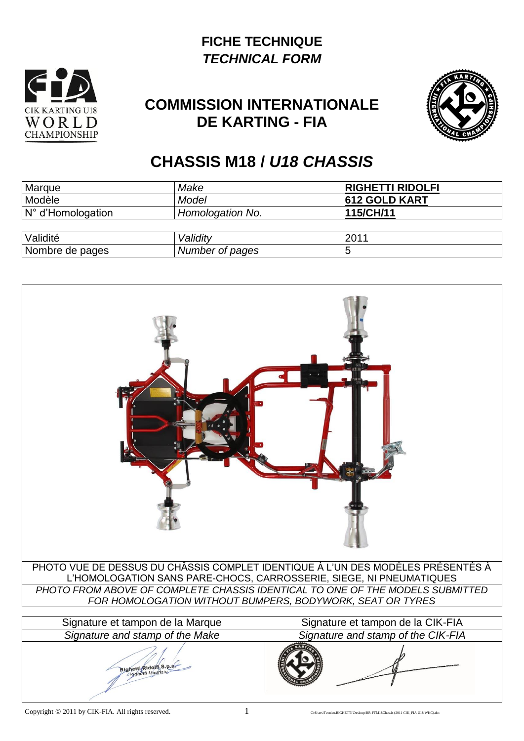## **FICHE TECHNIQUE** *TECHNICAL FORM*



## **COMMISSION INTERNATIONALE DE KARTING - FIA**



## **CHASSIS M18 /** *U18 CHASSIS*

| Marque                            | Make                    | <b>RIGHETTI RIDOLFI</b> |
|-----------------------------------|-------------------------|-------------------------|
| <b>Modèle</b>                     | Model                   | 612 GOLD KART           |
| $\sqrt{N^{\circ}}$ d'Homologation | <b>Homologation No.</b> | 115/CH/11               |
|                                   |                         |                         |
| <b>Validité</b>                   | Validity                | 2011                    |
| Nombre de pages                   | <b>Number of pages</b>  |                         |

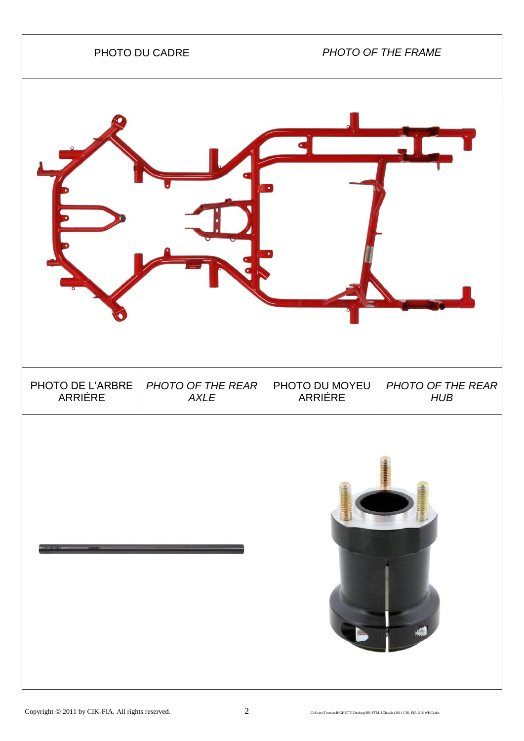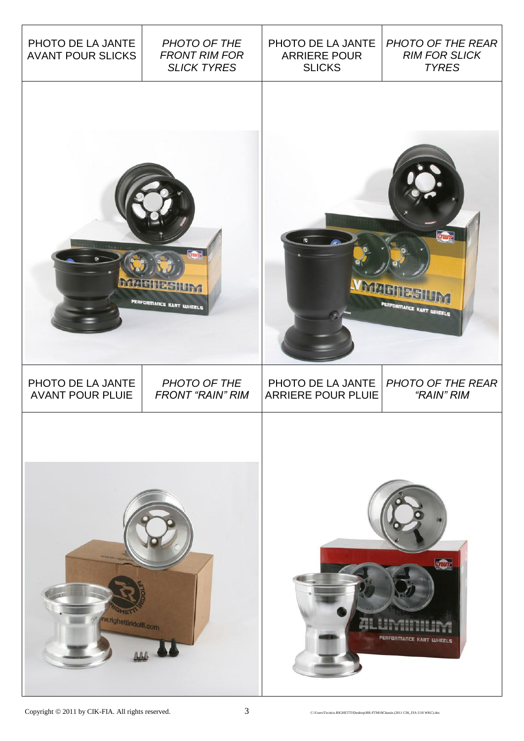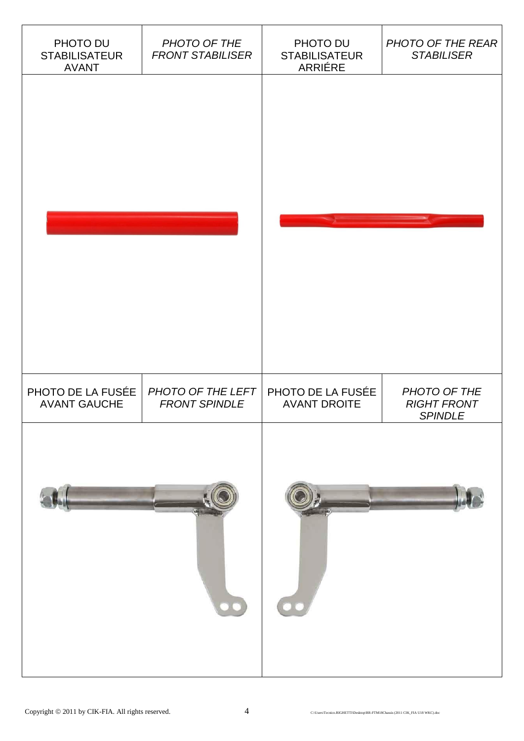| PHOTO DU<br><b>STABILISATEUR</b><br><b>AVANT</b> | PHOTO OF THE<br><b>FRONT STABILISER</b>   | PHOTO DU<br><b>STABILISATEUR</b><br>ARRIÉRE | PHOTO OF THE REAR<br><b>STABILISER</b>               |
|--------------------------------------------------|-------------------------------------------|---------------------------------------------|------------------------------------------------------|
|                                                  |                                           |                                             |                                                      |
|                                                  |                                           |                                             |                                                      |
|                                                  |                                           |                                             |                                                      |
|                                                  |                                           |                                             |                                                      |
|                                                  |                                           |                                             |                                                      |
|                                                  |                                           |                                             |                                                      |
| PHOTO DE LA FUSÉE<br><b>AVANT GAUCHE</b>         | PHOTO OF THE LEFT<br><b>FRONT SPINDLE</b> | PHOTO DE LA FUSÉE<br><b>AVANT DROITE</b>    | PHOTO OF THE<br><b>RIGHT FRONT</b><br><b>SPINDLE</b> |
|                                                  |                                           |                                             |                                                      |
|                                                  |                                           |                                             |                                                      |
|                                                  |                                           |                                             |                                                      |
|                                                  | $\bullet \bullet$                         | 00                                          |                                                      |
|                                                  |                                           |                                             |                                                      |